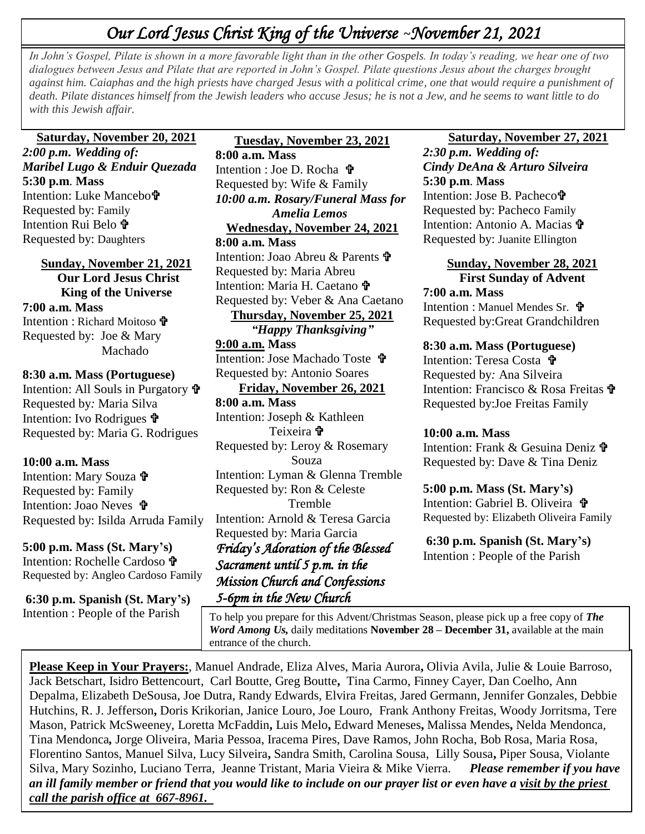# *Our Lord Jesus Christ King of the Universe* **~***November 21, 2021*

In John's Gospel, Pilate is shown in a more favorable light than in the other Gospels. In today's reading, we hear one of two dialogues herman less and Pilate that are represented in John's Gospel, Pilate questions, Jesus  *with this Jewish affair. dialogues between Jesus and Pilate that are reported in John's Gospel. Pilate questions Jesus about the charges brought against him. Caiaphas and the high priests have charged Jesus with a political crime, one that would require a punishment of death. Pilate distances himself from the Jewish leaders who accuse Jesus; he is not a Jew, and he seems to want little to do* 

### **Saturday, November 20, 2021**

*2:00 p.m. Wedding of: Maribel Lugo & Enduir Quezada*  **5:30 p.m**. **Mass** Intention: Luke Mancebo Requested by: Family Intention Rui Belo Requested by: Daughters

**Sunday, November 21, 2021 Our Lord Jesus Christ King of the Universe 7:00 a.m. Mass** Intention : Richard Moitoso Requested by: Joe & Mary Machado

#### **8:30 a.m. Mass (Portuguese)**

Intention: All Souls in Purgatory Requested by*:* Maria Silva Intention: Ivo Rodrigues Requested by: Maria G. Rodrigues

#### **10:00 a.m. Mass**

Intention: Mary Souza Requested by: Family Intention: Joao Neves **t** Requested by: Isilda Arruda Family

**5:00 p.m. Mass (St. Mary's)** Intention: Rochelle Cardoso Requested by: Angleo Cardoso Family

**6:30 p.m. Spanish (St. Mary's)** Intention : People of the Parish

**Tuesday, November 23, 2021 8:00 a.m. Mass** Intention : Joe D. Rocha Requested by: Wife & Family *10:00 a.m. Rosary/Funeral Mass for Amelia Lemos*  **Wednesday, November 24, 2021 8:00 a.m. Mass** Intention: Joao Abreu & Parents <sup>t</sup> Requested by: Maria Abreu Intention: Maria H. Caetano Requested by: Veber & Ana Caetano **Thursday, November 25, 2021** *"Happy Thanksgiving"* **9:00 a.m. Mass** Intention: Jose Machado Toste <sup>t</sup> Requested by: Antonio Soares **Friday, November 26, 2021 8:00 a.m. Mass** Intention: Joseph & Kathleen Teixeira <sup>+</sup> Requested by: Leroy & Rosemary Souza Intention: Lyman & Glenna Tremble Requested by: Ron & Celeste Tremble Intention: Arnold & Teresa Garcia Requested by: Maria Garcia *Friday's Adoration of the Blessed Sacrament until 5 p.m. in the Mission Church and Confessions 5-6pm in the New Church* 

 **Saturday, November 27, 2021** *2:30 p.m. Wedding of: Cindy DeAna & Arturo Silveira*  **5:30 p.m**. **Mass**

Intention: Jose B. Pacheco Requested by: Pacheco Family Intention: Antonio A. Macias **t** Requested by: Juanite Ellington

**Sunday, November 28, 2021 First Sunday of Advent 7:00 a.m. Mass**

Intention : Manuel Mendes Sr. **t** Requested by:Great Grandchildren

#### **8:30 a.m. Mass (Portuguese)**

Intention: Teresa Costa **t** Requested by*:* Ana Silveira Intention: Francisco & Rosa Freitas Requested by:Joe Freitas Family

#### **10:00 a.m. Mass**

Intention: Frank & Gesuina Deniz Requested by: Dave & Tina Deniz

**5:00 p.m. Mass (St. Mary's)** Intention: Gabriel B. Oliveira  $\mathbf{\hat{v}}$ Requested by: Elizabeth Oliveira Family

**6:30 p.m. Spanish (St. Mary's)** Intention : People of the Parish

 *Word Among Us,* daily meditations **November 28 – December 31,** available at the main To help you prepare for this Advent/Christmas Season, please pick up a free copy of *The*  entrance of the church.

**Please Keep in Your Prayers:**, Manuel Andrade, Eliza Alves, Maria Aurora**,** Olivia Avila, Julie & Louie Barroso, Jack Betschart, Isidro Bettencourt, Carl Boutte, Greg Boutte**,** Tina Carmo, Finney Cayer, Dan Coelho, Ann Depalma, Elizabeth DeSousa, Joe Dutra, Randy Edwards, Elvira Freitas, Jared Germann, Jennifer Gonzales, Debbie Hutchins, R. J. Jefferson**,** Doris Krikorian, Janice Louro, Joe Louro, Frank Anthony Freitas, Woody Jorritsma, Tere Mason, Patrick McSweeney, Loretta McFaddin**,** Luis Melo**,** Edward Meneses**,** Malissa Mendes**,** Nelda Mendonca, Tina Mendonca*,* Jorge Oliveira, Maria Pessoa, Iracema Pires, Dave Ramos, John Rocha, Bob Rosa, Maria Rosa, Florentino Santos, Manuel Silva, Lucy Silveira**,** Sandra Smith, Carolina Sousa, Lilly Sousa**,** Piper Sousa, Violante Silva, Mary Sozinho, Luciano Terra, Jeanne Tristant, Maria Vieira & Mike Vierra. *Please remember if you have an ill family member or friend that you would like to include on our prayer list or even have a visit by the priest call the parish office at 667-8961.*